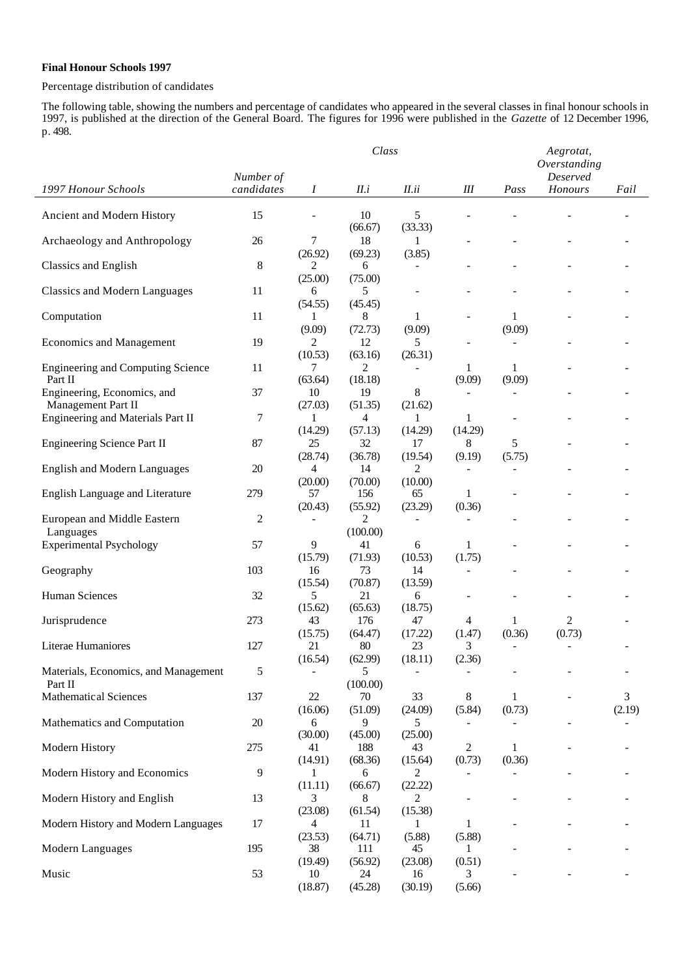## **Final Honour Schools 1997**

## Percentage distribution of candidates

The following table, showing the numbers and percentage of candidates who appeared in the several classes in final honour schools in 1997, is published at the direction of the General Board. The figures for 1996 were published in the *Gazette* of 12 December 1996, p. 498.

|                                                   |                         | Class                    |                |                          |                          |                          | Aegrotat,                |                          |  |  |
|---------------------------------------------------|-------------------------|--------------------------|----------------|--------------------------|--------------------------|--------------------------|--------------------------|--------------------------|--|--|
|                                                   |                         |                          |                |                          |                          | Overstanding             |                          |                          |  |  |
| 1997 Honour Schools                               | Number of<br>candidates | $\boldsymbol{I}$         | II.i           | II.ii                    | Ш                        | Pass                     | Deserved<br>Honours      | Fail                     |  |  |
| Ancient and Modern History                        | 15                      | $\blacksquare$           | 10<br>(66.67)  | 5<br>(33.33)             | ÷.                       |                          |                          |                          |  |  |
| Archaeology and Anthropology                      | 26                      | 7<br>(26.92)             | 18<br>(69.23)  | 1<br>(3.85)              | ÷                        | $\overline{\phantom{a}}$ | $\overline{a}$           |                          |  |  |
| Classics and English                              | 8                       | 2<br>(25.00)             | 6<br>(75.00)   |                          | ÷,                       |                          | L,                       |                          |  |  |
| <b>Classics and Modern Languages</b>              | 11                      | 6<br>(54.55)             | 5<br>(45.45)   | $\overline{\phantom{a}}$ | $\overline{a}$           |                          | ÷                        |                          |  |  |
| Computation                                       | 11                      | 1<br>(9.09)              | 8<br>(72.73)   | 1<br>(9.09)              | ÷,                       | 1<br>(9.09)              | $\overline{\phantom{0}}$ |                          |  |  |
| <b>Economics and Management</b>                   | 19                      | 2<br>(10.53)             | 12<br>(63.16)  | 5<br>(26.31)             | ÷                        | $\overline{\phantom{a}}$ |                          |                          |  |  |
| Engineering and Computing Science<br>Part II      | 11                      | 7<br>(63.64)             | 2<br>(18.18)   |                          | $\mathbf{1}$<br>(9.09)   | $\mathbf{1}$<br>(9.09)   |                          |                          |  |  |
| Engineering, Economics, and<br>Management Part II | 37                      | 10<br>(27.03)            | 19<br>(51.35)  | 8<br>(21.62)             |                          |                          | $\overline{a}$           |                          |  |  |
| Engineering and Materials Part II                 | 7                       | $\mathbf{1}$<br>(14.29)  | 4<br>(57.13)   | 1<br>(14.29)             | 1<br>(14.29)             | $\overline{a}$           |                          |                          |  |  |
| <b>Engineering Science Part II</b>                | 87                      | 25<br>(28.74)            | 32<br>(36.78)  | 17<br>(19.54)            | 8<br>(9.19)              | 5<br>(5.75)              |                          |                          |  |  |
| <b>English and Modern Languages</b>               | 20                      | 4<br>(20.00)             | 14<br>(70.00)  | 2<br>(10.00)             |                          |                          | -                        |                          |  |  |
| English Language and Literature                   | 279                     | 57<br>(20.43)            | 156<br>(55.92) | 65<br>(23.29)            | 1<br>(0.36)              |                          |                          |                          |  |  |
| European and Middle Eastern<br>Languages          | 2                       | $\overline{\phantom{a}}$ | 2<br>(100.00)  | $\overline{\phantom{a}}$ | ۰                        |                          |                          |                          |  |  |
| <b>Experimental Psychology</b>                    | 57                      | 9<br>(15.79)             | 41<br>(71.93)  | 6<br>(10.53)             | 1<br>(1.75)              |                          |                          |                          |  |  |
| Geography                                         | 103                     | 16<br>(15.54)            | 73<br>(70.87)  | 14<br>(13.59)            |                          |                          | $\overline{\phantom{0}}$ |                          |  |  |
| Human Sciences                                    | 32                      | 5<br>(15.62)             | 21<br>(65.63)  | 6<br>(18.75)             | -                        | $\overline{a}$           | $\overline{\phantom{a}}$ |                          |  |  |
| Jurisprudence                                     | 273                     | 43<br>(15.75)            | 176<br>(64.47) | 47<br>(17.22)            | 4<br>(1.47)              | 1<br>(0.36)              | $\overline{2}$<br>(0.73) |                          |  |  |
| Literae Humaniores                                | 127                     | 21<br>(16.54)            | 80<br>(62.99)  | 23<br>(18.11)            | 3<br>(2.36)              |                          |                          |                          |  |  |
| Materials, Economics, and Management<br>Part II   | 5                       | $\overline{a}$           | 5<br>(100.00)  | $\overline{\phantom{a}}$ | $\overline{\phantom{a}}$ |                          | $\overline{\phantom{a}}$ | $\overline{\phantom{a}}$ |  |  |
| Mathematical Sciences                             | 137                     | 22<br>(16.06)            | 70<br>(51.09)  | 33<br>(24.09)            | 8<br>(5.84)              | 1<br>(0.73)              |                          | 3<br>(2.19)              |  |  |
| Mathematics and Computation                       | 20                      | 6<br>(30.00)             | 9<br>(45.00)   | 5<br>(25.00)             |                          |                          | $\overline{\phantom{0}}$ |                          |  |  |
| Modern History                                    | 275                     | 41<br>(14.91)            | 188<br>(68.36) | 43<br>(15.64)            | 2<br>(0.73)              | 1<br>(0.36)              |                          |                          |  |  |
| Modern History and Economics                      | 9                       | 1<br>(11.11)             | 6<br>(66.67)   | 2<br>(22.22)             |                          |                          |                          |                          |  |  |
| Modern History and English                        | 13                      | 3<br>(23.08)             | 8<br>(61.54)   | 2<br>(15.38)             |                          |                          |                          |                          |  |  |
| Modern History and Modern Languages               | 17                      | 4<br>(23.53)             | 11<br>(64.71)  | 1<br>(5.88)              | 1<br>(5.88)              |                          |                          |                          |  |  |
| Modern Languages                                  | 195                     | 38<br>(19.49)            | 111<br>(56.92) | 45<br>(23.08)            | 1<br>(0.51)              |                          |                          |                          |  |  |
| Music                                             | 53                      | 10<br>(18.87)            | 24<br>(45.28)  | 16<br>(30.19)            | 3<br>(5.66)              |                          |                          |                          |  |  |